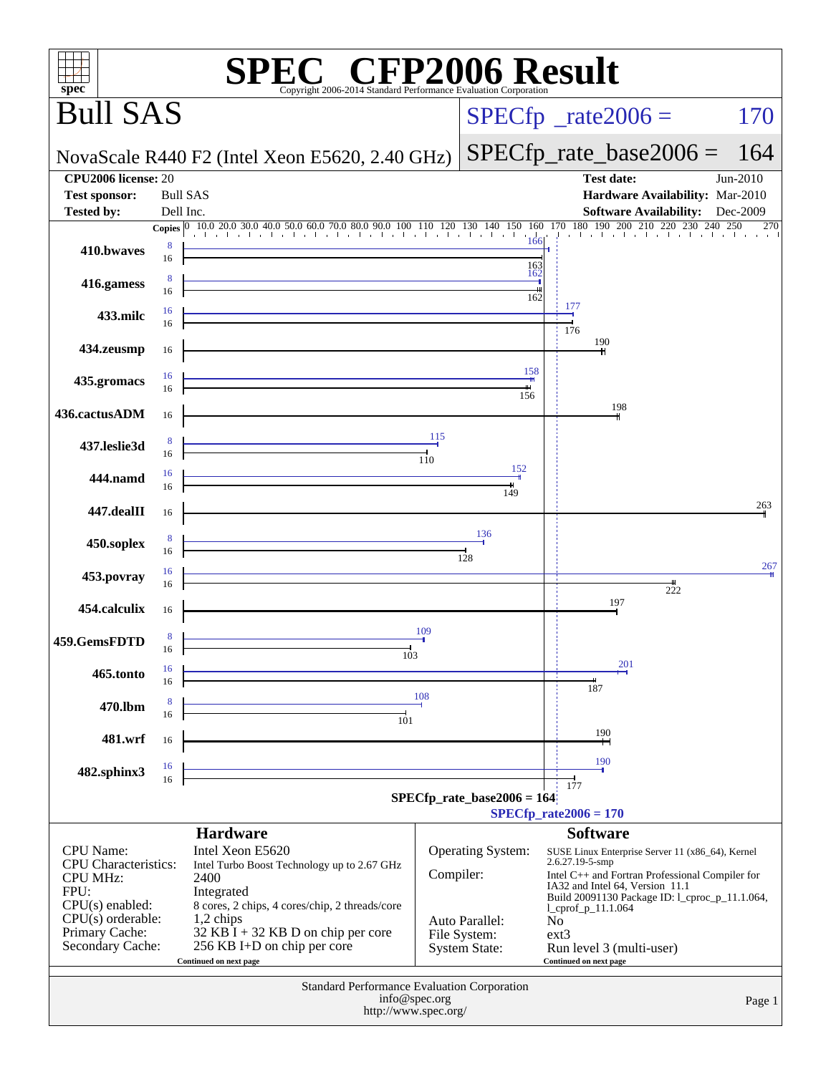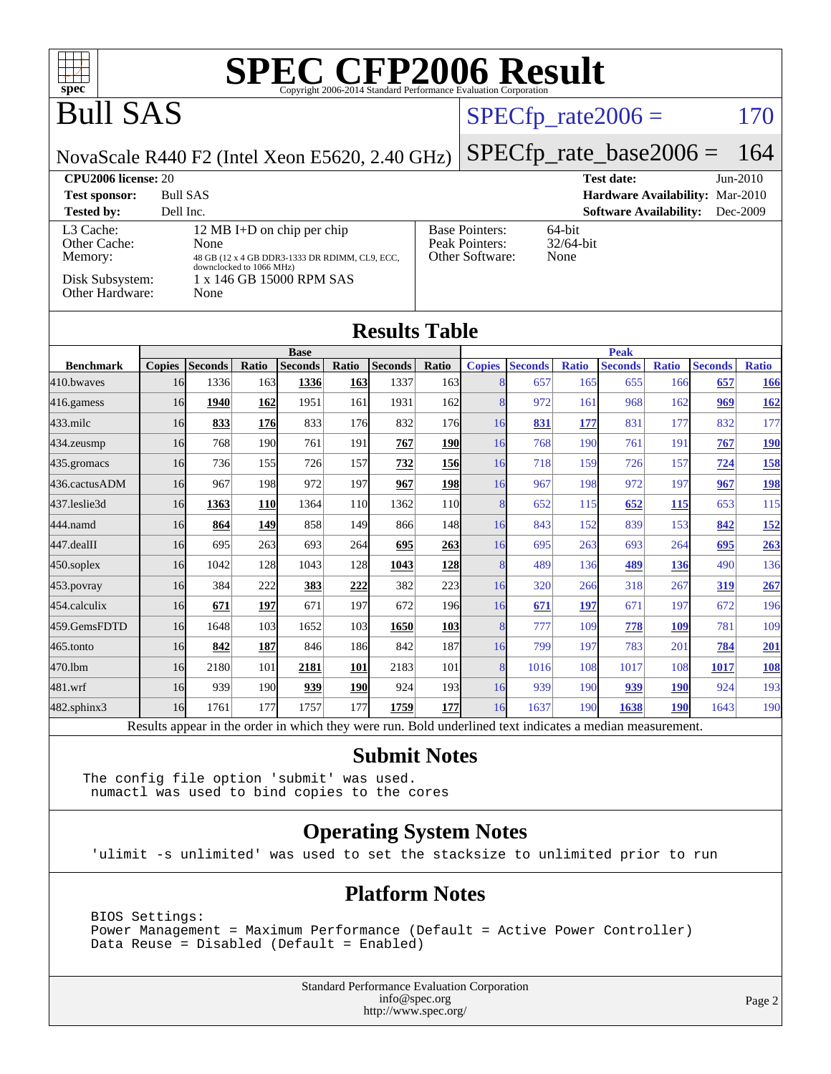

#### **[Submit Notes](http://www.spec.org/auto/cpu2006/Docs/result-fields.html#SubmitNotes)**

The config file option 'submit' was used. numactl was used to bind copies to the cores

#### **[Operating System Notes](http://www.spec.org/auto/cpu2006/Docs/result-fields.html#OperatingSystemNotes)**

'ulimit -s unlimited' was used to set the stacksize to unlimited prior to run

#### **[Platform Notes](http://www.spec.org/auto/cpu2006/Docs/result-fields.html#PlatformNotes)**

 BIOS Settings: Power Management = Maximum Performance (Default = Active Power Controller) Data Reuse = Disabled (Default = Enabled)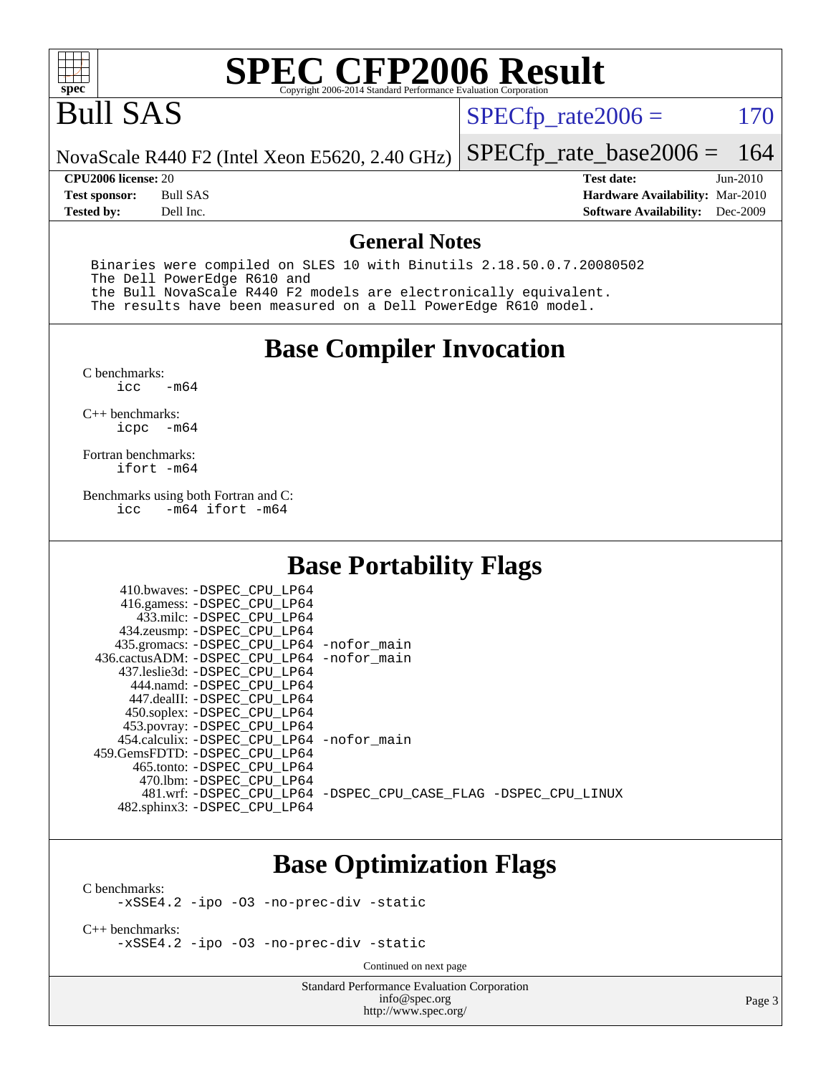

# Bull SAS

 $SPECfp_rate2006 = 170$  $SPECfp_rate2006 = 170$ 

[SPECfp\\_rate\\_base2006 =](http://www.spec.org/auto/cpu2006/Docs/result-fields.html#SPECfpratebase2006) 164

NovaScale R440 F2 (Intel Xeon E5620, 2.40 GHz)

**[Tested by:](http://www.spec.org/auto/cpu2006/Docs/result-fields.html#Testedby)** Dell Inc. **[Software Availability:](http://www.spec.org/auto/cpu2006/Docs/result-fields.html#SoftwareAvailability)** Dec-2009

**[CPU2006 license:](http://www.spec.org/auto/cpu2006/Docs/result-fields.html#CPU2006license)** 20 **[Test date:](http://www.spec.org/auto/cpu2006/Docs/result-fields.html#Testdate)** Jun-2010 **[Test sponsor:](http://www.spec.org/auto/cpu2006/Docs/result-fields.html#Testsponsor)** Bull SAS **[Hardware Availability:](http://www.spec.org/auto/cpu2006/Docs/result-fields.html#HardwareAvailability)** Mar-2010

#### **[General Notes](http://www.spec.org/auto/cpu2006/Docs/result-fields.html#GeneralNotes)**

 Binaries were compiled on SLES 10 with Binutils 2.18.50.0.7.20080502 The Dell PowerEdge R610 and the Bull NovaScale R440 F2 models are electronically equivalent. The results have been measured on a Dell PowerEdge R610 model.

### **[Base Compiler Invocation](http://www.spec.org/auto/cpu2006/Docs/result-fields.html#BaseCompilerInvocation)**

 $C$  benchmarks:<br>icc  $-m64$ 

[C++ benchmarks:](http://www.spec.org/auto/cpu2006/Docs/result-fields.html#CXXbenchmarks) [icpc -m64](http://www.spec.org/cpu2006/results/res2010q3/cpu2006-20100706-12222.flags.html#user_CXXbase_intel_icpc_64bit_bedb90c1146cab66620883ef4f41a67e)

[Fortran benchmarks](http://www.spec.org/auto/cpu2006/Docs/result-fields.html#Fortranbenchmarks): [ifort -m64](http://www.spec.org/cpu2006/results/res2010q3/cpu2006-20100706-12222.flags.html#user_FCbase_intel_ifort_64bit_ee9d0fb25645d0210d97eb0527dcc06e)

[Benchmarks using both Fortran and C](http://www.spec.org/auto/cpu2006/Docs/result-fields.html#BenchmarksusingbothFortranandC):<br>icc -m64 ifort -m64  $-m64$  ifort  $-m64$ 

### **[Base Portability Flags](http://www.spec.org/auto/cpu2006/Docs/result-fields.html#BasePortabilityFlags)**

| 410.bwaves: -DSPEC CPU LP64<br>416.gamess: -DSPEC_CPU_LP64<br>433.milc: -DSPEC CPU LP64<br>434.zeusmp: -DSPEC_CPU_LP64<br>435.gromacs: -DSPEC_CPU_LP64 -nofor_main<br>436.cactusADM: -DSPEC CPU LP64 -nofor main<br>437.leslie3d: -DSPEC CPU LP64<br>444.namd: -DSPEC CPU LP64<br>447.dealII: -DSPEC CPU LP64 |                                                                |
|---------------------------------------------------------------------------------------------------------------------------------------------------------------------------------------------------------------------------------------------------------------------------------------------------------------|----------------------------------------------------------------|
| 450.soplex: -DSPEC CPU LP64<br>453.povray: -DSPEC_CPU_LP64<br>454.calculix: - DSPEC CPU LP64 - nofor main<br>459. GemsFDTD: - DSPEC CPU LP64<br>465.tonto: -DSPEC CPU LP64                                                                                                                                    |                                                                |
| 470.1bm: - DSPEC CPU LP64<br>482.sphinx3: -DSPEC_CPU_LP64                                                                                                                                                                                                                                                     | 481.wrf: -DSPEC CPU_LP64 -DSPEC_CPU_CASE_FLAG -DSPEC_CPU_LINUX |

### **[Base Optimization Flags](http://www.spec.org/auto/cpu2006/Docs/result-fields.html#BaseOptimizationFlags)**

[C benchmarks](http://www.spec.org/auto/cpu2006/Docs/result-fields.html#Cbenchmarks):

[-xSSE4.2](http://www.spec.org/cpu2006/results/res2010q3/cpu2006-20100706-12222.flags.html#user_CCbase_f-xSSE42_f91528193cf0b216347adb8b939d4107) [-ipo](http://www.spec.org/cpu2006/results/res2010q3/cpu2006-20100706-12222.flags.html#user_CCbase_f-ipo) [-O3](http://www.spec.org/cpu2006/results/res2010q3/cpu2006-20100706-12222.flags.html#user_CCbase_f-O3) [-no-prec-div](http://www.spec.org/cpu2006/results/res2010q3/cpu2006-20100706-12222.flags.html#user_CCbase_f-no-prec-div) [-static](http://www.spec.org/cpu2006/results/res2010q3/cpu2006-20100706-12222.flags.html#user_CCbase_f-static)

[C++ benchmarks:](http://www.spec.org/auto/cpu2006/Docs/result-fields.html#CXXbenchmarks) [-xSSE4.2](http://www.spec.org/cpu2006/results/res2010q3/cpu2006-20100706-12222.flags.html#user_CXXbase_f-xSSE42_f91528193cf0b216347adb8b939d4107) [-ipo](http://www.spec.org/cpu2006/results/res2010q3/cpu2006-20100706-12222.flags.html#user_CXXbase_f-ipo) [-O3](http://www.spec.org/cpu2006/results/res2010q3/cpu2006-20100706-12222.flags.html#user_CXXbase_f-O3) [-no-prec-div](http://www.spec.org/cpu2006/results/res2010q3/cpu2006-20100706-12222.flags.html#user_CXXbase_f-no-prec-div) [-static](http://www.spec.org/cpu2006/results/res2010q3/cpu2006-20100706-12222.flags.html#user_CXXbase_f-static)

Continued on next page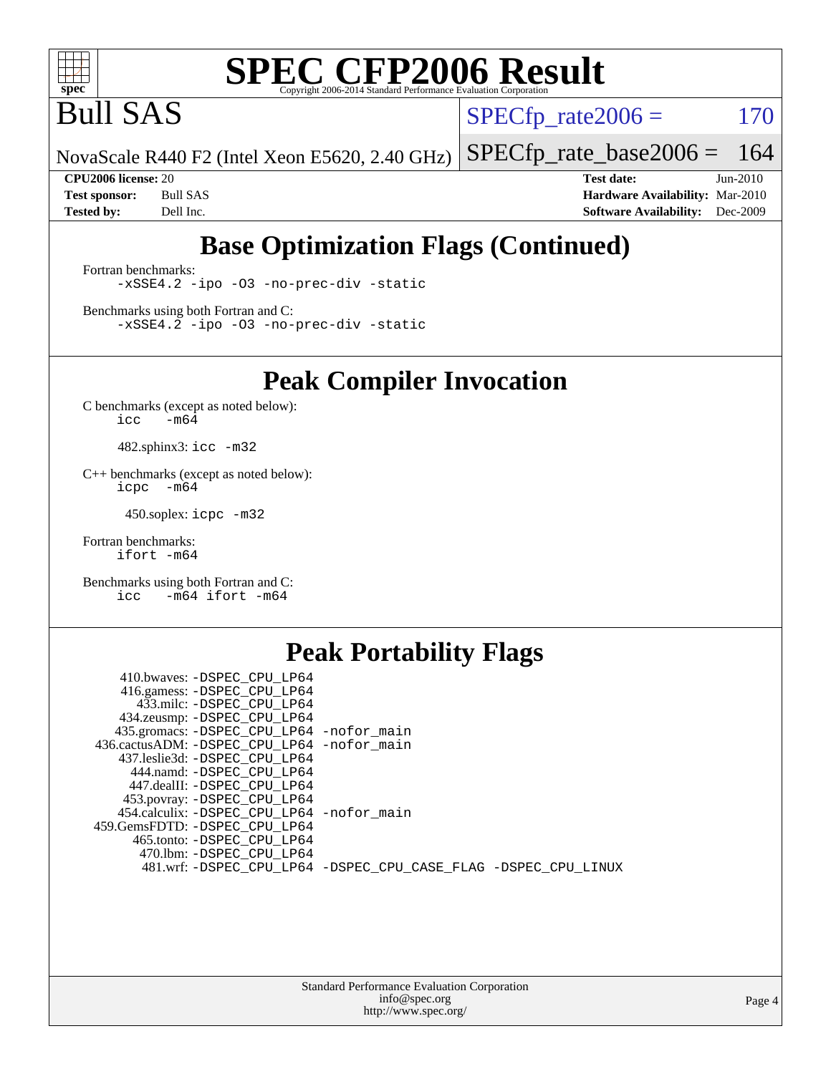

Bull SAS

 $SPECTp_rate2006 = 170$ 

NovaScale R440 F2 (Intel Xeon E5620, 2.40 GHz) [SPECfp\\_rate\\_base2006 =](http://www.spec.org/auto/cpu2006/Docs/result-fields.html#SPECfpratebase2006) 164

**[CPU2006 license:](http://www.spec.org/auto/cpu2006/Docs/result-fields.html#CPU2006license)** 20 **[Test date:](http://www.spec.org/auto/cpu2006/Docs/result-fields.html#Testdate)** Jun-2010 **[Test sponsor:](http://www.spec.org/auto/cpu2006/Docs/result-fields.html#Testsponsor)** Bull SAS **[Hardware Availability:](http://www.spec.org/auto/cpu2006/Docs/result-fields.html#HardwareAvailability)** Mar-2010 **[Tested by:](http://www.spec.org/auto/cpu2006/Docs/result-fields.html#Testedby)** Dell Inc. **[Software Availability:](http://www.spec.org/auto/cpu2006/Docs/result-fields.html#SoftwareAvailability)** Dec-2009

### **[Base Optimization Flags \(Continued\)](http://www.spec.org/auto/cpu2006/Docs/result-fields.html#BaseOptimizationFlags)**

[Fortran benchmarks](http://www.spec.org/auto/cpu2006/Docs/result-fields.html#Fortranbenchmarks): [-xSSE4.2](http://www.spec.org/cpu2006/results/res2010q3/cpu2006-20100706-12222.flags.html#user_FCbase_f-xSSE42_f91528193cf0b216347adb8b939d4107) [-ipo](http://www.spec.org/cpu2006/results/res2010q3/cpu2006-20100706-12222.flags.html#user_FCbase_f-ipo) [-O3](http://www.spec.org/cpu2006/results/res2010q3/cpu2006-20100706-12222.flags.html#user_FCbase_f-O3) [-no-prec-div](http://www.spec.org/cpu2006/results/res2010q3/cpu2006-20100706-12222.flags.html#user_FCbase_f-no-prec-div) [-static](http://www.spec.org/cpu2006/results/res2010q3/cpu2006-20100706-12222.flags.html#user_FCbase_f-static)

[Benchmarks using both Fortran and C](http://www.spec.org/auto/cpu2006/Docs/result-fields.html#BenchmarksusingbothFortranandC): [-xSSE4.2](http://www.spec.org/cpu2006/results/res2010q3/cpu2006-20100706-12222.flags.html#user_CC_FCbase_f-xSSE42_f91528193cf0b216347adb8b939d4107) [-ipo](http://www.spec.org/cpu2006/results/res2010q3/cpu2006-20100706-12222.flags.html#user_CC_FCbase_f-ipo) [-O3](http://www.spec.org/cpu2006/results/res2010q3/cpu2006-20100706-12222.flags.html#user_CC_FCbase_f-O3) [-no-prec-div](http://www.spec.org/cpu2006/results/res2010q3/cpu2006-20100706-12222.flags.html#user_CC_FCbase_f-no-prec-div) [-static](http://www.spec.org/cpu2006/results/res2010q3/cpu2006-20100706-12222.flags.html#user_CC_FCbase_f-static)

**[Peak Compiler Invocation](http://www.spec.org/auto/cpu2006/Docs/result-fields.html#PeakCompilerInvocation)**

[C benchmarks \(except as noted below\)](http://www.spec.org/auto/cpu2006/Docs/result-fields.html#Cbenchmarksexceptasnotedbelow):  $\text{icc}$  -m64

482.sphinx3: [icc -m32](http://www.spec.org/cpu2006/results/res2010q3/cpu2006-20100706-12222.flags.html#user_peakCCLD482_sphinx3_intel_icc_32bit_a6a621f8d50482236b970c6ac5f55f93)

[C++ benchmarks \(except as noted below\):](http://www.spec.org/auto/cpu2006/Docs/result-fields.html#CXXbenchmarksexceptasnotedbelow) [icpc -m64](http://www.spec.org/cpu2006/results/res2010q3/cpu2006-20100706-12222.flags.html#user_CXXpeak_intel_icpc_64bit_bedb90c1146cab66620883ef4f41a67e)

450.soplex: [icpc -m32](http://www.spec.org/cpu2006/results/res2010q3/cpu2006-20100706-12222.flags.html#user_peakCXXLD450_soplex_intel_icpc_32bit_4e5a5ef1a53fd332b3c49e69c3330699)

[Fortran benchmarks](http://www.spec.org/auto/cpu2006/Docs/result-fields.html#Fortranbenchmarks): [ifort -m64](http://www.spec.org/cpu2006/results/res2010q3/cpu2006-20100706-12222.flags.html#user_FCpeak_intel_ifort_64bit_ee9d0fb25645d0210d97eb0527dcc06e)

[Benchmarks using both Fortran and C](http://www.spec.org/auto/cpu2006/Docs/result-fields.html#BenchmarksusingbothFortranandC): [icc -m64](http://www.spec.org/cpu2006/results/res2010q3/cpu2006-20100706-12222.flags.html#user_CC_FCpeak_intel_icc_64bit_0b7121f5ab7cfabee23d88897260401c) [ifort -m64](http://www.spec.org/cpu2006/results/res2010q3/cpu2006-20100706-12222.flags.html#user_CC_FCpeak_intel_ifort_64bit_ee9d0fb25645d0210d97eb0527dcc06e)

### **[Peak Portability Flags](http://www.spec.org/auto/cpu2006/Docs/result-fields.html#PeakPortabilityFlags)**

| 410.bwaves: -DSPEC CPU LP64                |                                                                |
|--------------------------------------------|----------------------------------------------------------------|
| 416.gamess: -DSPEC CPU LP64                |                                                                |
| 433.milc: -DSPEC CPU LP64                  |                                                                |
| 434.zeusmp: -DSPEC_CPU_LP64                |                                                                |
| 435.gromacs: -DSPEC_CPU_LP64 -nofor_main   |                                                                |
| 436.cactusADM: -DSPEC CPU LP64 -nofor main |                                                                |
| 437.leslie3d: -DSPEC CPU LP64              |                                                                |
| 444.namd: -DSPEC CPU LP64                  |                                                                |
| 447.dealII: -DSPEC CPU LP64                |                                                                |
| 453.povray: -DSPEC_CPU_LP64                |                                                                |
| 454.calculix: -DSPEC_CPU_LP64 -nofor_main  |                                                                |
| 459.GemsFDTD: -DSPEC CPU LP64              |                                                                |
| 465.tonto: -DSPEC CPU LP64                 |                                                                |
| 470.1bm: -DSPEC CPU LP64                   |                                                                |
|                                            | 481.wrf: -DSPEC_CPU_LP64 -DSPEC_CPU_CASE_FLAG -DSPEC_CPU_LINUX |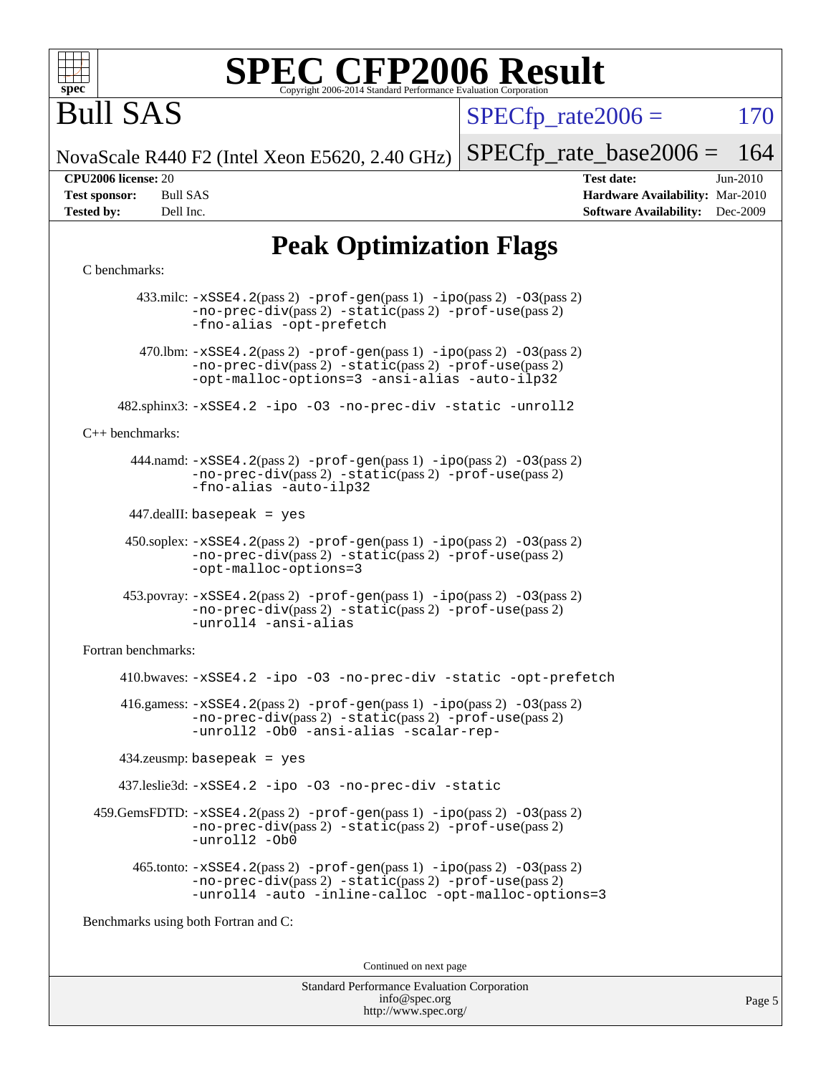

Bull SAS

 $SPECTp\_rate2006 = 170$ 

NovaScale R440 F2 (Intel Xeon E5620, 2.40 GHz) [SPECfp\\_rate\\_base2006 =](http://www.spec.org/auto/cpu2006/Docs/result-fields.html#SPECfpratebase2006) 164

**[CPU2006 license:](http://www.spec.org/auto/cpu2006/Docs/result-fields.html#CPU2006license)** 20 **[Test date:](http://www.spec.org/auto/cpu2006/Docs/result-fields.html#Testdate)** Jun-2010 **[Test sponsor:](http://www.spec.org/auto/cpu2006/Docs/result-fields.html#Testsponsor)** Bull SAS **[Hardware Availability:](http://www.spec.org/auto/cpu2006/Docs/result-fields.html#HardwareAvailability)** Mar-2010 **[Tested by:](http://www.spec.org/auto/cpu2006/Docs/result-fields.html#Testedby)** Dell Inc. **[Software Availability:](http://www.spec.org/auto/cpu2006/Docs/result-fields.html#SoftwareAvailability)** Dec-2009

### **[Peak Optimization Flags](http://www.spec.org/auto/cpu2006/Docs/result-fields.html#PeakOptimizationFlags)**

#### [C benchmarks](http://www.spec.org/auto/cpu2006/Docs/result-fields.html#Cbenchmarks):

 433.milc: [-xSSE4.2](http://www.spec.org/cpu2006/results/res2010q3/cpu2006-20100706-12222.flags.html#user_peakPASS2_CFLAGSPASS2_LDFLAGS433_milc_f-xSSE42_f91528193cf0b216347adb8b939d4107)(pass 2) [-prof-gen](http://www.spec.org/cpu2006/results/res2010q3/cpu2006-20100706-12222.flags.html#user_peakPASS1_CFLAGSPASS1_LDFLAGS433_milc_prof_gen_e43856698f6ca7b7e442dfd80e94a8fc)(pass 1) [-ipo](http://www.spec.org/cpu2006/results/res2010q3/cpu2006-20100706-12222.flags.html#user_peakPASS2_CFLAGSPASS2_LDFLAGS433_milc_f-ipo)(pass 2) [-O3](http://www.spec.org/cpu2006/results/res2010q3/cpu2006-20100706-12222.flags.html#user_peakPASS2_CFLAGSPASS2_LDFLAGS433_milc_f-O3)(pass 2) [-no-prec-div](http://www.spec.org/cpu2006/results/res2010q3/cpu2006-20100706-12222.flags.html#user_peakPASS2_CFLAGSPASS2_LDFLAGS433_milc_f-no-prec-div)(pass 2) [-static](http://www.spec.org/cpu2006/results/res2010q3/cpu2006-20100706-12222.flags.html#user_peakPASS2_CFLAGSPASS2_LDFLAGS433_milc_f-static)(pass 2) [-prof-use](http://www.spec.org/cpu2006/results/res2010q3/cpu2006-20100706-12222.flags.html#user_peakPASS2_CFLAGSPASS2_LDFLAGS433_milc_prof_use_bccf7792157ff70d64e32fe3e1250b55)(pass 2) [-fno-alias](http://www.spec.org/cpu2006/results/res2010q3/cpu2006-20100706-12222.flags.html#user_peakOPTIMIZE433_milc_f-no-alias_694e77f6c5a51e658e82ccff53a9e63a) [-opt-prefetch](http://www.spec.org/cpu2006/results/res2010q3/cpu2006-20100706-12222.flags.html#user_peakOPTIMIZE433_milc_f-opt-prefetch) 470.1bm:  $-xSSE4$ . 2(pass 2)  $-prof-gen(pass 1) -ipo(pass 2) -O3(pass 2)$  $-prof-gen(pass 1) -ipo(pass 2) -O3(pass 2)$  $-prof-gen(pass 1) -ipo(pass 2) -O3(pass 2)$  $-prof-gen(pass 1) -ipo(pass 2) -O3(pass 2)$  $-prof-gen(pass 1) -ipo(pass 2) -O3(pass 2)$  $-prof-gen(pass 1) -ipo(pass 2) -O3(pass 2)$ [-no-prec-div](http://www.spec.org/cpu2006/results/res2010q3/cpu2006-20100706-12222.flags.html#user_peakPASS2_CFLAGSPASS2_LDFLAGS470_lbm_f-no-prec-div)(pass 2) [-static](http://www.spec.org/cpu2006/results/res2010q3/cpu2006-20100706-12222.flags.html#user_peakPASS2_CFLAGSPASS2_LDFLAGS470_lbm_f-static)(pass 2) [-prof-use](http://www.spec.org/cpu2006/results/res2010q3/cpu2006-20100706-12222.flags.html#user_peakPASS2_CFLAGSPASS2_LDFLAGS470_lbm_prof_use_bccf7792157ff70d64e32fe3e1250b55)(pass 2) [-opt-malloc-options=3](http://www.spec.org/cpu2006/results/res2010q3/cpu2006-20100706-12222.flags.html#user_peakOPTIMIZE470_lbm_f-opt-malloc-options_13ab9b803cf986b4ee62f0a5998c2238) [-ansi-alias](http://www.spec.org/cpu2006/results/res2010q3/cpu2006-20100706-12222.flags.html#user_peakOPTIMIZE470_lbm_f-ansi-alias) [-auto-ilp32](http://www.spec.org/cpu2006/results/res2010q3/cpu2006-20100706-12222.flags.html#user_peakCOPTIMIZE470_lbm_f-auto-ilp32) 482.sphinx3: [-xSSE4.2](http://www.spec.org/cpu2006/results/res2010q3/cpu2006-20100706-12222.flags.html#user_peakOPTIMIZE482_sphinx3_f-xSSE42_f91528193cf0b216347adb8b939d4107) [-ipo](http://www.spec.org/cpu2006/results/res2010q3/cpu2006-20100706-12222.flags.html#user_peakOPTIMIZE482_sphinx3_f-ipo) [-O3](http://www.spec.org/cpu2006/results/res2010q3/cpu2006-20100706-12222.flags.html#user_peakOPTIMIZE482_sphinx3_f-O3) [-no-prec-div](http://www.spec.org/cpu2006/results/res2010q3/cpu2006-20100706-12222.flags.html#user_peakOPTIMIZE482_sphinx3_f-no-prec-div) [-static](http://www.spec.org/cpu2006/results/res2010q3/cpu2006-20100706-12222.flags.html#user_peakOPTIMIZE482_sphinx3_f-static) [-unroll2](http://www.spec.org/cpu2006/results/res2010q3/cpu2006-20100706-12222.flags.html#user_peakCOPTIMIZE482_sphinx3_f-unroll_784dae83bebfb236979b41d2422d7ec2) [C++ benchmarks:](http://www.spec.org/auto/cpu2006/Docs/result-fields.html#CXXbenchmarks) 444.namd: [-xSSE4.2](http://www.spec.org/cpu2006/results/res2010q3/cpu2006-20100706-12222.flags.html#user_peakPASS2_CXXFLAGSPASS2_LDFLAGS444_namd_f-xSSE42_f91528193cf0b216347adb8b939d4107)(pass 2) [-prof-gen](http://www.spec.org/cpu2006/results/res2010q3/cpu2006-20100706-12222.flags.html#user_peakPASS1_CXXFLAGSPASS1_LDFLAGS444_namd_prof_gen_e43856698f6ca7b7e442dfd80e94a8fc)(pass 1) [-ipo](http://www.spec.org/cpu2006/results/res2010q3/cpu2006-20100706-12222.flags.html#user_peakPASS2_CXXFLAGSPASS2_LDFLAGS444_namd_f-ipo)(pass 2) [-O3](http://www.spec.org/cpu2006/results/res2010q3/cpu2006-20100706-12222.flags.html#user_peakPASS2_CXXFLAGSPASS2_LDFLAGS444_namd_f-O3)(pass 2) [-no-prec-div](http://www.spec.org/cpu2006/results/res2010q3/cpu2006-20100706-12222.flags.html#user_peakPASS2_CXXFLAGSPASS2_LDFLAGS444_namd_f-no-prec-div)(pass 2) [-static](http://www.spec.org/cpu2006/results/res2010q3/cpu2006-20100706-12222.flags.html#user_peakPASS2_CXXFLAGSPASS2_LDFLAGS444_namd_f-static)(pass 2) [-prof-use](http://www.spec.org/cpu2006/results/res2010q3/cpu2006-20100706-12222.flags.html#user_peakPASS2_CXXFLAGSPASS2_LDFLAGS444_namd_prof_use_bccf7792157ff70d64e32fe3e1250b55)(pass 2) [-fno-alias](http://www.spec.org/cpu2006/results/res2010q3/cpu2006-20100706-12222.flags.html#user_peakCXXOPTIMIZE444_namd_f-no-alias_694e77f6c5a51e658e82ccff53a9e63a) [-auto-ilp32](http://www.spec.org/cpu2006/results/res2010q3/cpu2006-20100706-12222.flags.html#user_peakCXXOPTIMIZE444_namd_f-auto-ilp32) 447.dealII: basepeak = yes 450.soplex: [-xSSE4.2](http://www.spec.org/cpu2006/results/res2010q3/cpu2006-20100706-12222.flags.html#user_peakPASS2_CXXFLAGSPASS2_LDFLAGS450_soplex_f-xSSE42_f91528193cf0b216347adb8b939d4107)(pass 2) [-prof-gen](http://www.spec.org/cpu2006/results/res2010q3/cpu2006-20100706-12222.flags.html#user_peakPASS1_CXXFLAGSPASS1_LDFLAGS450_soplex_prof_gen_e43856698f6ca7b7e442dfd80e94a8fc)(pass 1) [-ipo](http://www.spec.org/cpu2006/results/res2010q3/cpu2006-20100706-12222.flags.html#user_peakPASS2_CXXFLAGSPASS2_LDFLAGS450_soplex_f-ipo)(pass 2) [-O3](http://www.spec.org/cpu2006/results/res2010q3/cpu2006-20100706-12222.flags.html#user_peakPASS2_CXXFLAGSPASS2_LDFLAGS450_soplex_f-O3)(pass 2) [-no-prec-div](http://www.spec.org/cpu2006/results/res2010q3/cpu2006-20100706-12222.flags.html#user_peakPASS2_CXXFLAGSPASS2_LDFLAGS450_soplex_f-no-prec-div)(pass 2) [-static](http://www.spec.org/cpu2006/results/res2010q3/cpu2006-20100706-12222.flags.html#user_peakPASS2_CXXFLAGSPASS2_LDFLAGS450_soplex_f-static)(pass 2) [-prof-use](http://www.spec.org/cpu2006/results/res2010q3/cpu2006-20100706-12222.flags.html#user_peakPASS2_CXXFLAGSPASS2_LDFLAGS450_soplex_prof_use_bccf7792157ff70d64e32fe3e1250b55)(pass 2) [-opt-malloc-options=3](http://www.spec.org/cpu2006/results/res2010q3/cpu2006-20100706-12222.flags.html#user_peakOPTIMIZE450_soplex_f-opt-malloc-options_13ab9b803cf986b4ee62f0a5998c2238) 453.povray: [-xSSE4.2](http://www.spec.org/cpu2006/results/res2010q3/cpu2006-20100706-12222.flags.html#user_peakPASS2_CXXFLAGSPASS2_LDFLAGS453_povray_f-xSSE42_f91528193cf0b216347adb8b939d4107)(pass 2) [-prof-gen](http://www.spec.org/cpu2006/results/res2010q3/cpu2006-20100706-12222.flags.html#user_peakPASS1_CXXFLAGSPASS1_LDFLAGS453_povray_prof_gen_e43856698f6ca7b7e442dfd80e94a8fc)(pass 1) [-ipo](http://www.spec.org/cpu2006/results/res2010q3/cpu2006-20100706-12222.flags.html#user_peakPASS2_CXXFLAGSPASS2_LDFLAGS453_povray_f-ipo)(pass 2) [-O3](http://www.spec.org/cpu2006/results/res2010q3/cpu2006-20100706-12222.flags.html#user_peakPASS2_CXXFLAGSPASS2_LDFLAGS453_povray_f-O3)(pass 2) [-no-prec-div](http://www.spec.org/cpu2006/results/res2010q3/cpu2006-20100706-12222.flags.html#user_peakPASS2_CXXFLAGSPASS2_LDFLAGS453_povray_f-no-prec-div)(pass 2) [-static](http://www.spec.org/cpu2006/results/res2010q3/cpu2006-20100706-12222.flags.html#user_peakPASS2_CXXFLAGSPASS2_LDFLAGS453_povray_f-static)(pass 2) [-prof-use](http://www.spec.org/cpu2006/results/res2010q3/cpu2006-20100706-12222.flags.html#user_peakPASS2_CXXFLAGSPASS2_LDFLAGS453_povray_prof_use_bccf7792157ff70d64e32fe3e1250b55)(pass 2) [-unroll4](http://www.spec.org/cpu2006/results/res2010q3/cpu2006-20100706-12222.flags.html#user_peakCXXOPTIMIZE453_povray_f-unroll_4e5e4ed65b7fd20bdcd365bec371b81f) [-ansi-alias](http://www.spec.org/cpu2006/results/res2010q3/cpu2006-20100706-12222.flags.html#user_peakCXXOPTIMIZE453_povray_f-ansi-alias) [Fortran benchmarks](http://www.spec.org/auto/cpu2006/Docs/result-fields.html#Fortranbenchmarks): 410.bwaves: [-xSSE4.2](http://www.spec.org/cpu2006/results/res2010q3/cpu2006-20100706-12222.flags.html#user_peakOPTIMIZE410_bwaves_f-xSSE42_f91528193cf0b216347adb8b939d4107) [-ipo](http://www.spec.org/cpu2006/results/res2010q3/cpu2006-20100706-12222.flags.html#user_peakOPTIMIZE410_bwaves_f-ipo) [-O3](http://www.spec.org/cpu2006/results/res2010q3/cpu2006-20100706-12222.flags.html#user_peakOPTIMIZE410_bwaves_f-O3) [-no-prec-div](http://www.spec.org/cpu2006/results/res2010q3/cpu2006-20100706-12222.flags.html#user_peakOPTIMIZE410_bwaves_f-no-prec-div) [-static](http://www.spec.org/cpu2006/results/res2010q3/cpu2006-20100706-12222.flags.html#user_peakOPTIMIZE410_bwaves_f-static) [-opt-prefetch](http://www.spec.org/cpu2006/results/res2010q3/cpu2006-20100706-12222.flags.html#user_peakOPTIMIZE410_bwaves_f-opt-prefetch)  $416$ .gamess:  $-xSSE4$ .  $2(pass 2)$  -prof-qen(pass 1) [-ipo](http://www.spec.org/cpu2006/results/res2010q3/cpu2006-20100706-12222.flags.html#user_peakPASS2_FFLAGSPASS2_LDFLAGS416_gamess_f-ipo)(pass 2) -03(pass 2) [-no-prec-div](http://www.spec.org/cpu2006/results/res2010q3/cpu2006-20100706-12222.flags.html#user_peakPASS2_FFLAGSPASS2_LDFLAGS416_gamess_f-no-prec-div)(pass 2) [-static](http://www.spec.org/cpu2006/results/res2010q3/cpu2006-20100706-12222.flags.html#user_peakPASS2_FFLAGSPASS2_LDFLAGS416_gamess_f-static)(pass 2) [-prof-use](http://www.spec.org/cpu2006/results/res2010q3/cpu2006-20100706-12222.flags.html#user_peakPASS2_FFLAGSPASS2_LDFLAGS416_gamess_prof_use_bccf7792157ff70d64e32fe3e1250b55)(pass 2) [-unroll2](http://www.spec.org/cpu2006/results/res2010q3/cpu2006-20100706-12222.flags.html#user_peakOPTIMIZE416_gamess_f-unroll_784dae83bebfb236979b41d2422d7ec2) [-Ob0](http://www.spec.org/cpu2006/results/res2010q3/cpu2006-20100706-12222.flags.html#user_peakOPTIMIZE416_gamess_f-Ob_n_fbe6f6428adb7d4b74b1e99bb2444c2d) [-ansi-alias](http://www.spec.org/cpu2006/results/res2010q3/cpu2006-20100706-12222.flags.html#user_peakOPTIMIZE416_gamess_f-ansi-alias) [-scalar-rep-](http://www.spec.org/cpu2006/results/res2010q3/cpu2006-20100706-12222.flags.html#user_peakOPTIMIZE416_gamess_f-disablescalarrep_abbcad04450fb118e4809c81d83c8a1d) 434.zeusmp: basepeak = yes 437.leslie3d: [-xSSE4.2](http://www.spec.org/cpu2006/results/res2010q3/cpu2006-20100706-12222.flags.html#user_peakOPTIMIZE437_leslie3d_f-xSSE42_f91528193cf0b216347adb8b939d4107) [-ipo](http://www.spec.org/cpu2006/results/res2010q3/cpu2006-20100706-12222.flags.html#user_peakOPTIMIZE437_leslie3d_f-ipo) [-O3](http://www.spec.org/cpu2006/results/res2010q3/cpu2006-20100706-12222.flags.html#user_peakOPTIMIZE437_leslie3d_f-O3) [-no-prec-div](http://www.spec.org/cpu2006/results/res2010q3/cpu2006-20100706-12222.flags.html#user_peakOPTIMIZE437_leslie3d_f-no-prec-div) [-static](http://www.spec.org/cpu2006/results/res2010q3/cpu2006-20100706-12222.flags.html#user_peakOPTIMIZE437_leslie3d_f-static) 459.GemsFDTD: [-xSSE4.2](http://www.spec.org/cpu2006/results/res2010q3/cpu2006-20100706-12222.flags.html#user_peakPASS2_FFLAGSPASS2_LDFLAGS459_GemsFDTD_f-xSSE42_f91528193cf0b216347adb8b939d4107)(pass 2) [-prof-gen](http://www.spec.org/cpu2006/results/res2010q3/cpu2006-20100706-12222.flags.html#user_peakPASS1_FFLAGSPASS1_LDFLAGS459_GemsFDTD_prof_gen_e43856698f6ca7b7e442dfd80e94a8fc)(pass 1) [-ipo](http://www.spec.org/cpu2006/results/res2010q3/cpu2006-20100706-12222.flags.html#user_peakPASS2_FFLAGSPASS2_LDFLAGS459_GemsFDTD_f-ipo)(pass 2) [-O3](http://www.spec.org/cpu2006/results/res2010q3/cpu2006-20100706-12222.flags.html#user_peakPASS2_FFLAGSPASS2_LDFLAGS459_GemsFDTD_f-O3)(pass 2) [-no-prec-div](http://www.spec.org/cpu2006/results/res2010q3/cpu2006-20100706-12222.flags.html#user_peakPASS2_FFLAGSPASS2_LDFLAGS459_GemsFDTD_f-no-prec-div)(pass 2) [-static](http://www.spec.org/cpu2006/results/res2010q3/cpu2006-20100706-12222.flags.html#user_peakPASS2_FFLAGSPASS2_LDFLAGS459_GemsFDTD_f-static)(pass 2) [-prof-use](http://www.spec.org/cpu2006/results/res2010q3/cpu2006-20100706-12222.flags.html#user_peakPASS2_FFLAGSPASS2_LDFLAGS459_GemsFDTD_prof_use_bccf7792157ff70d64e32fe3e1250b55)(pass 2) [-unroll2](http://www.spec.org/cpu2006/results/res2010q3/cpu2006-20100706-12222.flags.html#user_peakOPTIMIZE459_GemsFDTD_f-unroll_784dae83bebfb236979b41d2422d7ec2) [-Ob0](http://www.spec.org/cpu2006/results/res2010q3/cpu2006-20100706-12222.flags.html#user_peakOPTIMIZE459_GemsFDTD_f-Ob_n_fbe6f6428adb7d4b74b1e99bb2444c2d)  $465$ .tonto:  $-xSSE4$ .  $2(pass 2)$  [-prof-gen](http://www.spec.org/cpu2006/results/res2010q3/cpu2006-20100706-12222.flags.html#user_peakPASS1_FFLAGSPASS1_LDFLAGS465_tonto_prof_gen_e43856698f6ca7b7e442dfd80e94a8fc)(pass 1) [-ipo](http://www.spec.org/cpu2006/results/res2010q3/cpu2006-20100706-12222.flags.html#user_peakPASS2_FFLAGSPASS2_LDFLAGS465_tonto_f-ipo)(pass 2) [-O3](http://www.spec.org/cpu2006/results/res2010q3/cpu2006-20100706-12222.flags.html#user_peakPASS2_FFLAGSPASS2_LDFLAGS465_tonto_f-O3)(pass 2) [-no-prec-div](http://www.spec.org/cpu2006/results/res2010q3/cpu2006-20100706-12222.flags.html#user_peakPASS2_FFLAGSPASS2_LDFLAGS465_tonto_f-no-prec-div)(pass 2) [-static](http://www.spec.org/cpu2006/results/res2010q3/cpu2006-20100706-12222.flags.html#user_peakPASS2_FFLAGSPASS2_LDFLAGS465_tonto_f-static)(pass 2) [-prof-use](http://www.spec.org/cpu2006/results/res2010q3/cpu2006-20100706-12222.flags.html#user_peakPASS2_FFLAGSPASS2_LDFLAGS465_tonto_prof_use_bccf7792157ff70d64e32fe3e1250b55)(pass 2) [-unroll4](http://www.spec.org/cpu2006/results/res2010q3/cpu2006-20100706-12222.flags.html#user_peakOPTIMIZE465_tonto_f-unroll_4e5e4ed65b7fd20bdcd365bec371b81f) [-auto](http://www.spec.org/cpu2006/results/res2010q3/cpu2006-20100706-12222.flags.html#user_peakOPTIMIZE465_tonto_f-auto) [-inline-calloc](http://www.spec.org/cpu2006/results/res2010q3/cpu2006-20100706-12222.flags.html#user_peakOPTIMIZE465_tonto_f-inline-calloc) [-opt-malloc-options=3](http://www.spec.org/cpu2006/results/res2010q3/cpu2006-20100706-12222.flags.html#user_peakOPTIMIZE465_tonto_f-opt-malloc-options_13ab9b803cf986b4ee62f0a5998c2238) [Benchmarks using both Fortran and C](http://www.spec.org/auto/cpu2006/Docs/result-fields.html#BenchmarksusingbothFortranandC): Continued on next page